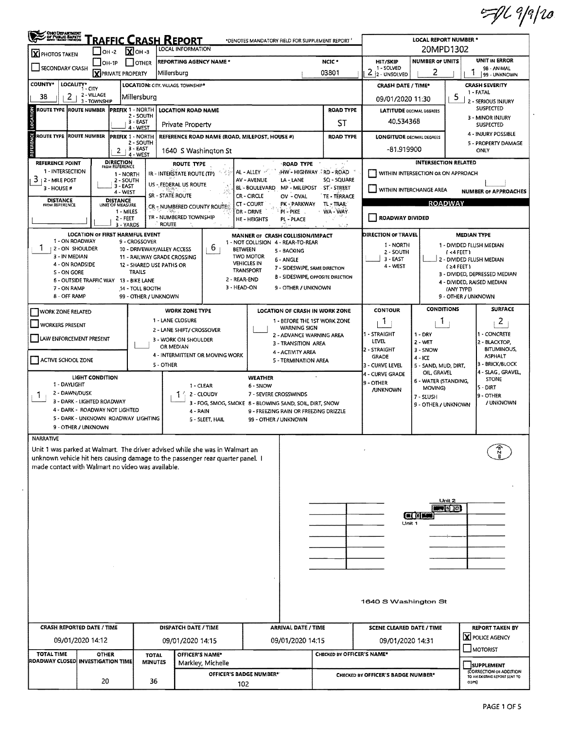$=$   $1/2$ 

| <b>X</b> PHOTOS TAKEN                                                                                      | RAFFIC CRASH REPORT<br>*DENOTES MANDATORY FIELD FOR SUPPLEMENT REPORT<br><b>LOCAL INFORMATION</b><br>$\overline{\mathbf{X}}$ OH -3<br>$IOH -2$ |                                                           |                  |                                                                                |                                                                                       |                            |                                              | <b>LOCAL REPORT NUMBER *</b><br>20MPD1302 |                                             |  |  |  |  |
|------------------------------------------------------------------------------------------------------------|------------------------------------------------------------------------------------------------------------------------------------------------|-----------------------------------------------------------|------------------|--------------------------------------------------------------------------------|---------------------------------------------------------------------------------------|----------------------------|----------------------------------------------|-------------------------------------------|---------------------------------------------|--|--|--|--|
|                                                                                                            | $LOH-1P$                                                                                                                                       | <b>OTHER</b>                                              |                  | <b>REPORTING AGENCY NAME *</b>                                                 |                                                                                       | NCIC <sup>*</sup>          | <b>HIT/SKIP</b>                              | <b>NUMBER OF UNITS</b>                    | <b>UNIT IN ERROR</b>                        |  |  |  |  |
| SECONDARY CRASH                                                                                            |                                                                                                                                                | <b>X</b> PRIVATE PROPERTY                                 | Millersburg      |                                                                                |                                                                                       | 03801                      | 1 - SOLVED<br>$2 2$ -UNSOLVED                | 2                                         | 98 - ANIMAL<br>Ŧ<br>99 - UNKNOWN            |  |  |  |  |
| <b>COUNTY*</b><br>LOCALITY* CITY                                                                           |                                                                                                                                                |                                                           |                  | LOCATION: CITY. VILLAGE TOWNSHIP*                                              |                                                                                       |                            | <b>CRASH DATE / TIME*</b>                    |                                           | <b>CRASH SEVERITY</b>                       |  |  |  |  |
| 2<br>38                                                                                                    | 2 - VILLAGE                                                                                                                                    | Millersburg                                               |                  |                                                                                | 09/01/2020 11:30                                                                      | 1 - FATAL                  |                                              |                                           |                                             |  |  |  |  |
| š<br>ROUTE TYPE ROUTE NUMBER                                                                               | 3 - TOWNSHIP                                                                                                                                   | <b>PREFIX 1 - NORTH</b>                                   |                  | <b>LOCATION ROAD NAME</b>                                                      |                                                                                       | <b>ROAD TYPE</b>           |                                              |                                           | 5<br>2 - SERIOUS INJURY<br><b>SUSPECTED</b> |  |  |  |  |
|                                                                                                            |                                                                                                                                                | 2 - SOUTH                                                 |                  |                                                                                |                                                                                       |                            | <b>LATITUDE DECIMAL DEGREES</b><br>40.534368 |                                           | 3 - MINOR INJURY                            |  |  |  |  |
| ē                                                                                                          |                                                                                                                                                | 3 - EAST<br>4 - WEST                                      |                  | Private Property                                                               |                                                                                       | ST                         |                                              |                                           | <b>SUSPECTED</b>                            |  |  |  |  |
| Ğ<br><b>ROUTE NUMBER</b><br><b>ROUTE TYPE</b><br><b>PREFIX 1 - NORTH</b><br>2 - SOUTH                      |                                                                                                                                                |                                                           |                  |                                                                                | REFERENCE ROAD NAME (ROAD, MILEPOST, HOUSE #)                                         | <b>ROAD TYPE</b>           | <b>LONGITUDE DECIMAL DEGREES</b>             |                                           | 4 - INJURY POSSIBLE<br>5 - PROPERTY DAMAGE  |  |  |  |  |
|                                                                                                            |                                                                                                                                                | 3 - EAST<br>2<br>4 - WEST                                 |                  | 1640 S Washington St                                                           |                                                                                       | -81.919900                 |                                              | ONLY                                      |                                             |  |  |  |  |
| <b>REFERENCE POINT</b>                                                                                     |                                                                                                                                                | <b>DIRECTION</b>                                          |                  | ROUTE TYPE                                                                     | <b>ROAD TYPE</b>                                                                      | $\sim$ $\sim$              |                                              | <b>INTERSECTION RELATED</b>               |                                             |  |  |  |  |
| 1 - INTERSECTION                                                                                           |                                                                                                                                                | FROM REFERENCE<br>1 - NORTH                               |                  | IR - INTERSTATE ROUTE (TP)                                                     | HW - HIGHWAY I RD - ROAD<br>AL - ALLEY                                                |                            |                                              | WITHIN INTERSECTION OR ON APPROACH        |                                             |  |  |  |  |
| 3 <sub>12</sub> - MILE POST<br>3 - HOUSE #                                                                 |                                                                                                                                                | 2 - SOUTH<br>3 - EAST                                     |                  | US - FEDERAL US ROUTE                                                          | <b>AV - AVENUE</b><br>LA - LANE<br><b>BL-BOULEVARD</b><br>MP - MILEPOST - ST - STREET | SQ - SQUARE                |                                              |                                           |                                             |  |  |  |  |
| <b>DISTANCE</b>                                                                                            |                                                                                                                                                | $4 - WEST$<br><b>DISTANCE</b>                             | SR - STATE ROUTE |                                                                                | <b>CR-CIRCLE</b><br>OV - OVAL                                                         | <b>TE - TERRACE</b>        | WITHIN INTERCHANGE AREA                      |                                           | <b>NUMBER OF APPROACHES</b>                 |  |  |  |  |
| FROM REFERENCE                                                                                             |                                                                                                                                                | UNIT OF MEASURE<br>1 - MILES                              |                  | CR - NUMBERED COUNTY ROUTE!                                                    | $CT - COURT$<br>PK - PARKWAY<br>DR - DRIVE<br>PI-PIKE.                                | TL - TRAIL<br>WA WAY       |                                              | <b>ROADWAY</b>                            |                                             |  |  |  |  |
|                                                                                                            |                                                                                                                                                | $2 - FEET$                                                |                  | TR - NUMBERED TOWNSHIP                                                         | <b>HE-HEIGHTS</b><br>PL - PLACE                                                       |                            | ROADWAY DIVIDED                              |                                           |                                             |  |  |  |  |
|                                                                                                            | <b>LOCATION OF FIRST HARMFUL EVENT</b>                                                                                                         | 3 - YARDS                                                 | <b>ROUTE</b>     |                                                                                |                                                                                       |                            | <b>DIRECTION OF TRAVEL</b>                   |                                           | <b>MEDIAN TYPE</b>                          |  |  |  |  |
| 1 - ON ROADWAY                                                                                             |                                                                                                                                                | 9 - CROSSOVER                                             |                  |                                                                                | MANNER or CRASH COLLISION/IMPACT<br>1 - NOT COLLISION 4 - REAR-TO-REAR                |                            | 1 - NORTH                                    |                                           | 1 - DIVIDED FLUSH MEDIAN                    |  |  |  |  |
| 1<br>  2 - ON SHOULDER<br>3 - IN MEDIAN                                                                    |                                                                                                                                                | 10 - DRIVEWAY/ALLEY ACCESS<br>11 - RAILWAY GRADE CROSSING |                  | 6                                                                              | <b>BETWEEN</b><br>5 - BACKING<br><b>TWO MOTOR</b>                                     |                            | 2 - SOUTH                                    |                                           | (4FET)                                      |  |  |  |  |
| 4 - ON ROADSIDE                                                                                            |                                                                                                                                                | 12 - SHARED USE PATHS OR                                  |                  |                                                                                | 6 - ANGLE<br><b>VEHICLES IN</b><br>7 - SIDESWIPE, SAME DIRECTION                      |                            | 3 - EAST<br>4 - WEST                         |                                           | 2 - DIVIDED FLUSH MEDIAN<br>(≥4 FEET)       |  |  |  |  |
| S - ON GORE                                                                                                |                                                                                                                                                | TRAILS                                                    |                  |                                                                                | TRANSPORT<br><b>8 - SIDESWIPE, OPPOSITE DIRECTION</b><br>2 - REAR-END                 |                            |                                              |                                           | 3 - DIVIDED, DEPRESSED MEDIAN               |  |  |  |  |
| 6 - OUTSIDE TRAFFIC WAY 13 - BIKE LANE<br>7 - ON RAMP                                                      |                                                                                                                                                | 14 - TOLL BOOTH                                           |                  |                                                                                | 3 - HEAD-ON<br>9 - OTHER / UNKNOWN                                                    |                            |                                              |                                           | 4 - DIVIDED, RAISED MEDIAN<br>(ANY TYPE)    |  |  |  |  |
| <b>8 - OFF RAMP</b>                                                                                        |                                                                                                                                                | 99 - OTHER / UNKNOWN                                      |                  |                                                                                |                                                                                       |                            |                                              |                                           | 9 - OTHER / UNKNOWN                         |  |  |  |  |
| <b>WORK ZONE RELATED</b>                                                                                   |                                                                                                                                                |                                                           |                  | <b>WORK ZONE TYPE</b>                                                          | <b>LOCATION OF CRASH IN WORK ZONE</b>                                                 |                            | <b>CONTOUR</b>                               | <b>CONDITIONS</b>                         | <b>SURFACE</b>                              |  |  |  |  |
| <b>WORKERS PRESENT</b>                                                                                     |                                                                                                                                                |                                                           |                  | 1 - LANE CLOSURE                                                               | 1 - BEFORE THE 1ST WORK ZONE                                                          |                            | 1                                            | <b>T</b>                                  | 2                                           |  |  |  |  |
|                                                                                                            |                                                                                                                                                |                                                           |                  | 2 - LANE SHIFT/ CROSSOVER                                                      | <b>WARNING SIGN</b><br>2 - ADVANCE WARNING AREA                                       |                            | 1 - STRAIGHT                                 | $1 - DRY$                                 | 1 - CONCRETE                                |  |  |  |  |
| LAW ENFORCEMENT PRESENT                                                                                    |                                                                                                                                                |                                                           |                  | 3 - WORK ON SHOULDER<br>OR MEDIAN                                              | 3 - TRANSITION AREA                                                                   |                            | LEVEL                                        | $2 - WET$                                 | 2 - BLACKTOP,<br><b>BITUMINOUS,</b>         |  |  |  |  |
| <b>ACTIVE SCHOOL ZONE</b>                                                                                  |                                                                                                                                                |                                                           |                  | 4 - INTERMITTENT OR MOVING WORK                                                | 4 - ACTIVITY AREA<br>5 - TERMINATION AREA                                             |                            | 2 - STRAIGHT<br>GRADE                        | $3 - SNOW$<br>$4 - ICE$                   | <b>ASPHALT</b>                              |  |  |  |  |
|                                                                                                            |                                                                                                                                                |                                                           | 5 - OTHER        |                                                                                |                                                                                       |                            | 3 - CURVE LEVEL                              | 5 - SAND, MUD, DIRT,                      | 3 - BRICK/BLOCK<br>4 - SLAG, GRAVEL,        |  |  |  |  |
|                                                                                                            | <b>LIGHT CONDITION</b>                                                                                                                         |                                                           |                  |                                                                                | <b>WEATHER</b>                                                                        |                            | 4 - CURVE GRADE<br>9 - OTHER                 | OIL, GRAVEL<br>6 - WATER (STANDING,       | <b>STONE</b>                                |  |  |  |  |
| 1 - DAYLIGHT<br>2 - DAWN/DUSK<br>1                                                                         |                                                                                                                                                |                                                           |                  | 1 - CLEAR<br>2 - CLOUDY                                                        | 6 - SNOW<br>7 - SEVERE CROSSWINDS                                                     |                            | <b>/UNKNOWN</b>                              | MOVING)                                   | 5 - DIRT<br><b>9 - OTHER</b>                |  |  |  |  |
| 3 - DARK - LIGHTED ROADWAY                                                                                 |                                                                                                                                                |                                                           |                  |                                                                                | 3 - FOG, SMOG, SMOKE 8 - BLOWING 5AND, SOIL, DIRT, SNOW                               |                            |                                              | 7 - SLUSH<br>9 - OTHER / UNKNOWN          | / UNKNOWN                                   |  |  |  |  |
|                                                                                                            |                                                                                                                                                |                                                           |                  | 4 - RAIN                                                                       | 9 - FREEZING RAIN OR FREEZING DRIZZLE                                                 |                            |                                              |                                           |                                             |  |  |  |  |
| 4 - DARK - ROADWAY NOT LIGHTED                                                                             |                                                                                                                                                |                                                           |                  |                                                                                |                                                                                       |                            |                                              |                                           |                                             |  |  |  |  |
| 5 - DARK - UNKNOWN ROADWAY LIGHTING<br>9 - OTHER / UNKNOWN                                                 |                                                                                                                                                |                                                           |                  | 5 - SLEET, HAIL                                                                | 99 - OTHER / UNKNOWN                                                                  |                            |                                              |                                           |                                             |  |  |  |  |
|                                                                                                            |                                                                                                                                                |                                                           |                  |                                                                                |                                                                                       |                            |                                              |                                           |                                             |  |  |  |  |
|                                                                                                            |                                                                                                                                                |                                                           |                  | Unit 1 was parked at Walmart. The driver advised while she was in Walmart an   |                                                                                       |                            |                                              |                                           |                                             |  |  |  |  |
|                                                                                                            |                                                                                                                                                |                                                           |                  | unknown vehicle hit hers causing damage to the passenger rear quarter panel. I |                                                                                       |                            |                                              |                                           |                                             |  |  |  |  |
|                                                                                                            |                                                                                                                                                |                                                           |                  |                                                                                |                                                                                       |                            |                                              |                                           |                                             |  |  |  |  |
|                                                                                                            |                                                                                                                                                |                                                           |                  |                                                                                |                                                                                       |                            |                                              |                                           |                                             |  |  |  |  |
|                                                                                                            |                                                                                                                                                |                                                           |                  |                                                                                |                                                                                       |                            |                                              |                                           |                                             |  |  |  |  |
|                                                                                                            |                                                                                                                                                |                                                           |                  |                                                                                |                                                                                       |                            |                                              | Unit 2<br>$\blacksquare$                  |                                             |  |  |  |  |
|                                                                                                            |                                                                                                                                                |                                                           |                  |                                                                                |                                                                                       |                            |                                              | <b>ENTER</b>                              |                                             |  |  |  |  |
|                                                                                                            |                                                                                                                                                |                                                           |                  |                                                                                |                                                                                       |                            | Unit 1                                       |                                           |                                             |  |  |  |  |
|                                                                                                            |                                                                                                                                                |                                                           |                  |                                                                                |                                                                                       |                            |                                              |                                           |                                             |  |  |  |  |
|                                                                                                            |                                                                                                                                                |                                                           |                  |                                                                                |                                                                                       |                            |                                              |                                           |                                             |  |  |  |  |
|                                                                                                            |                                                                                                                                                |                                                           |                  |                                                                                |                                                                                       |                            |                                              |                                           |                                             |  |  |  |  |
|                                                                                                            |                                                                                                                                                |                                                           |                  |                                                                                |                                                                                       |                            |                                              |                                           |                                             |  |  |  |  |
|                                                                                                            |                                                                                                                                                |                                                           |                  |                                                                                |                                                                                       |                            |                                              |                                           |                                             |  |  |  |  |
|                                                                                                            |                                                                                                                                                |                                                           |                  |                                                                                |                                                                                       |                            | 1640 S Washington St                         |                                           |                                             |  |  |  |  |
|                                                                                                            |                                                                                                                                                |                                                           |                  |                                                                                |                                                                                       |                            |                                              |                                           |                                             |  |  |  |  |
|                                                                                                            |                                                                                                                                                |                                                           |                  |                                                                                |                                                                                       |                            |                                              |                                           |                                             |  |  |  |  |
| <b>CRASH REPORTED DATE / TIME</b>                                                                          |                                                                                                                                                |                                                           |                  | DISPATCH DATE / TIME                                                           | <b>ARRIVAL DATE / TIME</b>                                                            |                            | <b>SCENE CLEARED DATE / TIME</b>             |                                           |                                             |  |  |  |  |
| 09/01/2020 14:12                                                                                           |                                                                                                                                                |                                                           |                  | 09/01/2020 14:15                                                               | 09/01/2020 14:15                                                                      |                            | 09/01/2020 14:31                             |                                           | X POLICE AGENCY                             |  |  |  |  |
| <b>TOTAL TIME</b>                                                                                          | <b>OTHER</b>                                                                                                                                   |                                                           | <b>TOTAL</b>     | OFFICER'S NAME*                                                                |                                                                                       | CHECKED BY OFFICER'S NAME* |                                              |                                           | <b>REPORT TAKEN BY</b><br>MOTORIST          |  |  |  |  |
| <b>NARRATIVE</b><br>made contact with Walmart no video was available.<br>ROADWAY CLOSED INVESTIGATION TIME |                                                                                                                                                |                                                           | <b>MINUTES</b>   | Markley, Michelle                                                              | OFFICER'S BADGE NUMBER*                                                               |                            |                                              |                                           | SUPPLEMENT<br>(CORRECTION OR ADDITION       |  |  |  |  |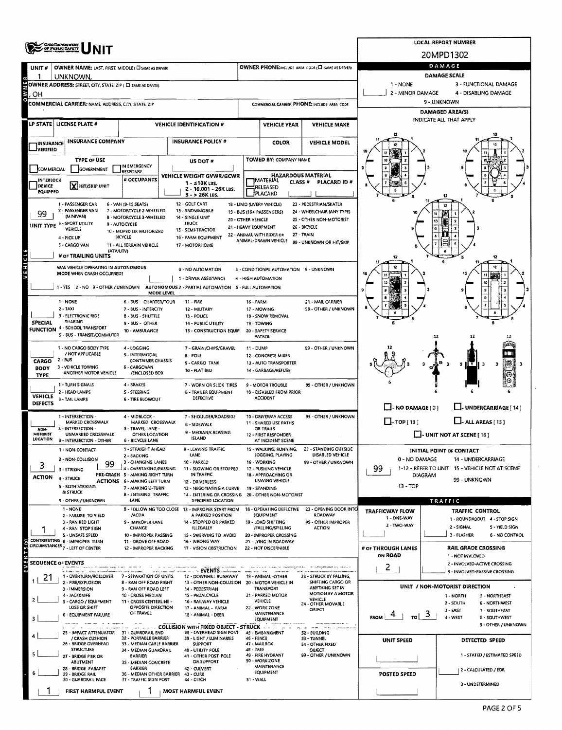|                                                                                                          | <b>OHIO DEPARTMENT</b><br>OF PUBLIC BAFETT                                                               |                                                          |                                        |                                                                         |                                                                                     |                                                    |                                                   |                                   | <b>LOCAL REPORT NUMBER</b>                                           |  |  |  |  |  |  |
|----------------------------------------------------------------------------------------------------------|----------------------------------------------------------------------------------------------------------|----------------------------------------------------------|----------------------------------------|-------------------------------------------------------------------------|-------------------------------------------------------------------------------------|----------------------------------------------------|---------------------------------------------------|-----------------------------------|----------------------------------------------------------------------|--|--|--|--|--|--|
|                                                                                                          |                                                                                                          |                                                          |                                        |                                                                         |                                                                                     |                                                    |                                                   |                                   | 20MPD1302                                                            |  |  |  |  |  |  |
| UNIT#                                                                                                    | OWNER NAME: LAST, FIRST, MIDDLE (CI SAME AS DRIVER)                                                      |                                                          |                                        |                                                                         |                                                                                     |                                                    | OWNER PHONE:INCLUDE AREA CODE (C) SAME AS DRIVER) |                                   | DAMAGE                                                               |  |  |  |  |  |  |
|                                                                                                          | UNKNOWN                                                                                                  |                                                          |                                        |                                                                         |                                                                                     |                                                    |                                                   | DAMAGE SCALE                      |                                                                      |  |  |  |  |  |  |
|                                                                                                          | OWNER ADDRESS: STREET, CITY, STATE, ZIP ( C) SAME AS DRIVERY                                             |                                                          |                                        |                                                                         |                                                                                     |                                                    |                                                   | 1 - NONE<br>2 - MINOR DAMAGE      | 3 - FUNCTIONAL DAMAGE<br>4 - DISABLING DAMAGE                        |  |  |  |  |  |  |
| OН                                                                                                       | COMMERCIAL CARRIER: NAME, ADDRESS, CITY, STATE, ZIP                                                      |                                                          |                                        |                                                                         |                                                                                     |                                                    | COMMERCIAL CARRIER PHONE: INCLUDE AREA CODE       |                                   | 9 - UNKNOWN                                                          |  |  |  |  |  |  |
|                                                                                                          |                                                                                                          |                                                          |                                        |                                                                         |                                                                                     |                                                    |                                                   |                                   | <b>DAMAGED AREA(S)</b>                                               |  |  |  |  |  |  |
|                                                                                                          | LP STATE LICENSE PLATE #                                                                                 |                                                          |                                        | <b>VEHICLE IDENTIFICATION #</b>                                         |                                                                                     | <b>VEHICLE YEAR</b>                                | <b>VEHICLE MAKE</b>                               |                                   | INDICATE ALL THAT APPLY                                              |  |  |  |  |  |  |
|                                                                                                          |                                                                                                          |                                                          |                                        |                                                                         |                                                                                     |                                                    |                                                   |                                   |                                                                      |  |  |  |  |  |  |
| <b><i>INSURANCE</i></b>                                                                                  | <b>INSURANCE COMPANY</b>                                                                                 |                                                          |                                        | <b>INSURANCE POLICY #</b>                                               |                                                                                     | COLOR                                              | <b>VEHICLE MODEL</b>                              |                                   |                                                                      |  |  |  |  |  |  |
|                                                                                                          | <b>TYPE OF USE</b>                                                                                       |                                                          |                                        | US DOT#                                                                 |                                                                                     | TOWED BY: COMPANY NAME                             |                                                   | 10                                |                                                                      |  |  |  |  |  |  |
| COMMERCIAL                                                                                               | GOVERNMENT                                                                                               | IN EMERGENCY<br><b>RESPONSE</b>                          |                                        |                                                                         |                                                                                     |                                                    |                                                   | $\mathbf{p}$                      |                                                                      |  |  |  |  |  |  |
| INTERLOCK                                                                                                |                                                                                                          | # OCCUPANTS                                              |                                        | VEHICLE WEIGHT GVWR/GCWR<br>1 - ≤10K LBS.                               | <b>HAZARDOUS MATERIAL</b><br><b>IMATERIAL</b><br>CLASS <sup>#</sup><br>PLACARD ID # |                                                    |                                                   |                                   |                                                                      |  |  |  |  |  |  |
| DEVICE<br><b>EQUIPPEO</b>                                                                                | X HIT/SKIP UNIT                                                                                          |                                                          |                                        | 2 - 10.001 - 26K LBS.<br>$3 - 26K$ LBS.                                 |                                                                                     | RELEASED<br>PLACARD                                |                                                   |                                   | 12                                                                   |  |  |  |  |  |  |
|                                                                                                          | 1 - PASSENGER CAR                                                                                        | 6 - VAN (9-15 SEATS)                                     |                                        | 12 - GOLF CART                                                          |                                                                                     | 18 - LIMO (LIVERY VEHICLE)                         | 23 - PEDESTRIAN/SKATER                            |                                   |                                                                      |  |  |  |  |  |  |
| 99                                                                                                       | 2 - PASSENGER VAN<br>(MINIVAN)                                                                           | 7 - MOTORCYCLE 2-WHEELED<br>B - MOTORCYCLE 3-WHEELED     |                                        | 13 - SNOWMOBILE<br>14 - SINGLE UNIT                                     |                                                                                     | 19 - BUS (16+ PASSENGERS)                          | 24 - WHEELCHAIR (ANY TYPE)                        |                                   |                                                                      |  |  |  |  |  |  |
| UNIT TYPE 3-                                                                                             | - SPORT UTILITY<br>VEHICLE                                                                               | 9 - AUTOCYCLE                                            |                                        | <b>TRUCK</b><br>15 - SEMI-TRACTOR                                       | 20 - OTHER VEHICLE<br>21 - HEAVY EQUIPMENT                                          |                                                    | 25 - OTHER NON-MOTORIST<br>26 - BICYCLE           |                                   | 10                                                                   |  |  |  |  |  |  |
|                                                                                                          | 4 - PICK UP                                                                                              | 10 - MOPED OR MOTORIZED<br>BICYCLE                       |                                        | 16 - FARM EQUIPMENT                                                     |                                                                                     | 22 - ANIMAL WITH RIDER OR<br>ANIMAL-DRAWN VEHICLE  | 27 - TRAIN<br>99 - UNKNOWN OR HIT/SKIP            |                                   |                                                                      |  |  |  |  |  |  |
|                                                                                                          | 5 - CARGO VAN<br>(ATV/UTV)                                                                               | 11 - ALL TERRAIN VEHICLE                                 |                                        | 17 - MOTORHOME                                                          |                                                                                     |                                                    |                                                   |                                   |                                                                      |  |  |  |  |  |  |
| ERICE                                                                                                    | # OF TRAILING UNITS                                                                                      |                                                          |                                        |                                                                         |                                                                                     |                                                    |                                                   |                                   |                                                                      |  |  |  |  |  |  |
|                                                                                                          | WAS VEHICLE OPERATING IN AUTONOMOUS<br>MODE WHEN CRASH OCCURRED?                                         |                                                          | 3 - CONDITIONAL AUTOMATION 9 - UNKNOWN |                                                                         |                                                                                     |                                                    |                                                   |                                   |                                                                      |  |  |  |  |  |  |
|                                                                                                          | 1 - YES 2 - NO 9 - OTHER / UNKNOWN AUTONOMOUS 2 - PARTIAL AUTOMATION 5 - FULL AUTOMATION                 |                                                          |                                        | 1 - DRIVER ASSISTANCE                                                   |                                                                                     | 4 - HIGH AUTOMATION                                |                                                   | 10                                |                                                                      |  |  |  |  |  |  |
|                                                                                                          |                                                                                                          |                                                          | MODE LEVEL                             |                                                                         |                                                                                     |                                                    |                                                   |                                   |                                                                      |  |  |  |  |  |  |
|                                                                                                          | 1 - NONE<br>$2 - TANI$                                                                                   | 6 - BUS - CHARTER/TOUR<br>7 - BUS - INTERCITY            |                                        | 11 - FIRE<br>12 MILITARY                                                | 16 - FARM                                                                           | 17 - MOWING                                        | 21 - MAIL CARRIER<br>99 - OTHER / UNKNOWN         |                                   |                                                                      |  |  |  |  |  |  |
|                                                                                                          | 3 - ELECTRONIC RIDE                                                                                      | 8 - BUS - SHUTTLE                                        |                                        | 13 - POLICE                                                             |                                                                                     | 18 - SNOW REMOVAL                                  |                                                   |                                   |                                                                      |  |  |  |  |  |  |
| <b>SPECIAL</b>                                                                                           | <b>SHARING</b><br>FUNCTION 4 - SCHOOL TRANSPORT                                                          | 9 - BUS - OTHER<br>10 - AMBULANCE                        |                                        | <b>14 - PUBLIC UTILITY</b><br>15 - CONSTRUCTION EQUIP.                  |                                                                                     | 19 - TOWING<br>20 - SAFETY SERVICE                 |                                                   |                                   |                                                                      |  |  |  |  |  |  |
|                                                                                                          | 5 - BUS - TRANSIT/COMMUTER                                                                               |                                                          |                                        |                                                                         |                                                                                     | <b>PATROL</b>                                      |                                                   |                                   | 12<br>12<br>12                                                       |  |  |  |  |  |  |
| 1 - NO CARGO BODY TYPE<br>7 - GRAIN/CHIPS/GRAVEL<br>4 - LOGGING<br>11 - DUMP<br>/ NOT APPLICABLE         |                                                                                                          |                                                          |                                        |                                                                         |                                                                                     |                                                    | 99 - OTHER / UNKNOWN                              |                                   |                                                                      |  |  |  |  |  |  |
| <b>S-INTERMODAL</b><br><b>B-POLE</b><br>$2 - BUS$<br>CARGO<br><b>CONTAINER CHASSIS</b><br>9 - CARGO TANK |                                                                                                          |                                                          |                                        |                                                                         |                                                                                     | 12 - CONCRETE MIXER<br>13 - AUTO TRANSPORTER       |                                                   |                                   | 9<br>9                                                               |  |  |  |  |  |  |
| BODY<br>TYPE                                                                                             | 3 - VEHICLE TOWING<br>ANOTHER MOTOR VEHICLE                                                              | 6 - CARGOVAN<br>/ENCLOSED BOX                            |                                        | 10 - FLAT BED                                                           |                                                                                     | 14 - GARBAGE/REFUSE                                |                                                   |                                   |                                                                      |  |  |  |  |  |  |
|                                                                                                          | 1 - TURN SIGNALS                                                                                         | 4 - BRAKES                                               |                                        | 7 - WORN OR SLICK TIRES                                                 |                                                                                     | 9 - MOTOR TROUBLE                                  | 99 - OTHER / UNKNOWN                              |                                   |                                                                      |  |  |  |  |  |  |
| <b>VEHICLE</b>                                                                                           | 2 - HEAD LAMPS<br>3 - TAIL LAMPS                                                                         | S - STEERING<br><b>6 - TIRE BLOWOUT</b>                  |                                        | <b>B - TRAILER EQUIPMENT</b><br>DEFECTIVE                               |                                                                                     | 10 - DISABLED FROM PRIOR<br><b>ACCIDENT</b>        |                                                   |                                   |                                                                      |  |  |  |  |  |  |
| DEFECTS                                                                                                  |                                                                                                          |                                                          |                                        |                                                                         |                                                                                     |                                                    |                                                   | $\Box$ - NO DAMAGE [ 0 ]          | -- UNDERCARRIAGE [ 14]                                               |  |  |  |  |  |  |
|                                                                                                          | 1 - INTERSECTION -<br>MARKED CROSSWALK                                                                   | 4 - MIDBLOCK -<br>MARKED CROSSWALK                       |                                        | 7 - SHOULDER/ROADSIDE                                                   | 10 - DRIVEWAY ACCESS<br>99 - OTHER / UNKNOWN<br><b>11 - SHARED USE PATHS</b>        |                                                    |                                                   | $\Box$ -TOP[13]                   | $\Box$ - ALL AREAS [ 15 ]                                            |  |  |  |  |  |  |
| NON-<br>MOTORIST                                                                                         | 2 - INTERSECTION -<br>UNMARKED CROSSWALK                                                                 | S - TRAVEL LANE -<br>OTHER LOCATION                      |                                        | <b>B - SIDEWALK</b><br>9 - MEDIAN/CROSSING                              | OR TRAILS<br>12 - FIRST RESPONDER                                                   |                                                    |                                                   | $\Box$ - UNIT NOT AT SCENE [ 16 ] |                                                                      |  |  |  |  |  |  |
| LOCATION                                                                                                 | 3 - INTERSECTION - OTHER                                                                                 | 6 - BICYCLE LANE                                         |                                        | <b>ISLAND</b>                                                           |                                                                                     | AT INCIDENT SCENE                                  |                                                   |                                   |                                                                      |  |  |  |  |  |  |
|                                                                                                          | 1 - NON-CONTACT                                                                                          | 1 - STRAIGHT AHEAD<br>2 - BACKING                        |                                        | 9 - LEAVING TRAFFIC<br>LANE                                             |                                                                                     | 15 - WALKING, RUNNING,<br>JOGGING, PLAYING         | 21 - STANDING OUTSIDE<br>DISABLED VEHICLE         |                                   | <b>INITIAL POINT OF CONTACT</b>                                      |  |  |  |  |  |  |
| 3                                                                                                        | 2 - NON-COLLISION<br>99                                                                                  | 3 - CHANGING LANES<br>4 - OVERTAKING/PASSING             |                                        | 10 - PARKED<br>11 - SLOWING OR STOPPED                                  |                                                                                     | 16 - WORKING<br>17 - PUSHING VEHICLE               | 99 - OTHER / UNKNOWN                              | 0 - NO DAMAGE<br>99               | 14 - UNDERCARRIAGE<br>1-12 - REFER TO UNIT 15 - VEHICLE NOT AT SCENE |  |  |  |  |  |  |
| <b>ACTION</b>                                                                                            | 3 - STRIKING<br>4 - STRUCK                                                                               | PRE-CRASH 5 - MAKING RIGHT TURN                          |                                        | IN TRAFFIC                                                              |                                                                                     | 18 - APPROACHING OR<br>LEAVING VEHICLE             |                                                   | <b>DIAGRAM</b><br>99 - UNKNOWN    |                                                                      |  |  |  |  |  |  |
|                                                                                                          | 5 - BOTH STRIKING                                                                                        | <b>ACTIONS 6 - MAKING LEFT TURN</b><br>7 - MAKING U-TURN |                                        | 12 - DRIVERLESS<br>13 - NEGOTIATING A CURVE                             |                                                                                     | 19 - STANDING                                      |                                                   | $13 - TOP$                        |                                                                      |  |  |  |  |  |  |
|                                                                                                          | & STRUCK<br>9 - OTHER / UNKNOWN                                                                          | 8 - ENTERING TRAFFIC<br>LANE                             |                                        | 14 - ENTERING OR CROSSING 20 - OTHER NON-MOTORIST<br>SPECIFIED LOCATION |                                                                                     |                                                    |                                                   |                                   | TRAFFIC                                                              |  |  |  |  |  |  |
|                                                                                                          | 1 - NONE                                                                                                 |                                                          |                                        | B - FOLLOWING TOO CLOSE 13 - IMPROPER START FROM                        |                                                                                     | 18 - OPERATING DEFECTIVE                           | 23 - OPENING DOOR INTO                            | <b>TRAFFICWAY FLOW</b>            | <b>TRAFFIC CONTROL</b>                                               |  |  |  |  |  |  |
|                                                                                                          | 2 - FAILURE TO VIELD<br>3 - RAN RED LIGHT                                                                | /ACDA<br>9 - IMPROPER LANE                               |                                        | A PARKED POSITION<br>14 - STOPPED OR PARKED                             |                                                                                     | EQUIPMENT<br>19 - LOAD SHIFTING                    | ROADWAY<br>99 - OTHER IMPROPER                    | 1 - ONE-WAY<br>2 - TWO-WAY        | 1 - ROUNDABOUT 4 - STOP SIGN                                         |  |  |  |  |  |  |
|                                                                                                          | 4 - RAN STOP SIGN<br><b>S - UNSAFE SPEED</b>                                                             | CHANGE<br>10 - IMPROPER PASSING                          |                                        | <b>ILLEGALLY</b><br>15 - SWERVING TO AVOID                              |                                                                                     | /FALLING/SPILLING<br>20 - IMPROPER CROSSING        | <b>ACTION</b>                                     |                                   | 2 - SIGNAL<br>5 - YIELD SIGN<br>3 - FLASHER<br><b>6 - NO CONTROL</b> |  |  |  |  |  |  |
|                                                                                                          | CONTRIBUTING 6 - IMPROPER TURN<br><b>CIRCUMSTANCES</b> 7 - LEFT OF CENTER                                | 11 - DROVE OFF ROAD<br>12 - IMPROPER BACKING             |                                        | 16 - WRONG WAY<br>17 - VISION OBSTRUCTION                               |                                                                                     | 21 LYING IN ROADWAY<br><b>22 - NOT DISCERNIBLE</b> |                                                   | # OF THROUGH LANES                | <b>RAIL GRADE CROSSING</b>                                           |  |  |  |  |  |  |
| 즢                                                                                                        |                                                                                                          |                                                          |                                        |                                                                         |                                                                                     |                                                    |                                                   | ON ROAD                           | 1 - NOT INVLOVED                                                     |  |  |  |  |  |  |
|                                                                                                          | <b>SEQUENCE OF EVENTS</b>                                                                                |                                                          |                                        | <b>EVENTS</b>                                                           |                                                                                     |                                                    |                                                   | 2                                 | 2 - INVOLVED-ACTIVE CROSSING                                         |  |  |  |  |  |  |
| 21                                                                                                       | 1 - OVERTURN/ROLLOVER<br>2 - FIRE/EXPLOSION                                                              | 7 - SEPARATION OF UNITS                                  |                                        | 12 - DOWNHILL RUNAWAY<br>13 - OTHER NON-COLLISION 20 - MOTOR VEHICLE IN |                                                                                     | 19 - ANIMAL -OTHER                                 | 23 - STRUCK BY FALUNG,<br>SHIFTING CARGO OR       |                                   | 3 - INVOLVED-PASSIVE CROSSING                                        |  |  |  |  |  |  |
|                                                                                                          | 3 - IMMERSION                                                                                            | 8 - RAN OFF ROAD RIGHT<br>9 - RAN OFF ROAD LEFT          |                                        | 14 - PEDESTRIAN                                                         |                                                                                     | TRANSPORT                                          | ANYTHING SET IN<br>MOTION BY A MOTOR              |                                   | UNIT / NON-MOTORIST DIRECTION                                        |  |  |  |  |  |  |
|                                                                                                          | 4 - JACKKNIFE<br>5 - CARGO / EQUIPMENT                                                                   | 10 - CROSS MEDIAN<br>11 - CROSS CENTERLINE -             |                                        | 15 - PEDALCYCLE<br>16 - RAILWAY VEHICLE                                 |                                                                                     | 21 - PARKED MOTOR<br><b>VEHICLE</b>                | VEHICLE<br>24 - OTHER MOVABLE                     |                                   | 1 - NORTH<br>S - NORTHEAST<br>2 - SOUTH<br>6 - NORTHWEST             |  |  |  |  |  |  |
|                                                                                                          | LOSS OR SHIFT<br><b>6 - EQUIPMENT FAILURE</b>                                                            | OPPOSITE DIRECTION<br>OF TRAVEL                          |                                        | 17 - ANIMAL - FARM<br>18 - ANIMAL - DEER                                |                                                                                     | 22 - WORK ZONE<br>MAINTENANCE                      | OBJECT                                            |                                   | $3 - EAST$<br>7 - SOUTHEAST                                          |  |  |  |  |  |  |
| з                                                                                                        |                                                                                                          |                                                          |                                        | <b>ALL AND ACCELLISION WITH FIXED OBJECT - STRUCK</b>                   |                                                                                     | EQUIPMENT                                          |                                                   | <b>FROM</b><br>то І               | 4 - WEST<br>8 - SOUTHWEST<br>9 - OTHER / UNKNOWN                     |  |  |  |  |  |  |
|                                                                                                          | the transfer and the company of the con-<br>25 - IMPACT ATTENUATOR 31 - GUARDRAIL END<br>/ CRASH CUSHION | 32 - PORTABLE BARRIER                                    |                                        | 38 - OVERHEAD SIGN POST<br>39 - LIGHT / LUMINARIES                      | <b>46 - FENCE</b>                                                                   | 45 - EMBANKMENT                                    | 52 - BUILDING                                     |                                   |                                                                      |  |  |  |  |  |  |
|                                                                                                          | 26 - BRIDGE OVERHEAD                                                                                     | 33 - MEDIAN CABLE BARRIER                                |                                        | <b>SUPPORT</b>                                                          | 48 - TREE                                                                           | 47 - MAILBOX                                       | 53 - TUNNEL<br>54 - OTHER FIXED                   | UNIT SPEED                        | DETECTED SPEED                                                       |  |  |  |  |  |  |
|                                                                                                          | <b>STRUCTURE</b><br>27 - BRIDGE PIER OR                                                                  | 34 - MEDIAN GUARDRAIL<br><b>BARRIER</b>                  |                                        | 40 - UTILITY POLE<br>41 - OTHER POST, POLE                              |                                                                                     | 49 - FIRE HYDRANT                                  | OBJECT<br>99 - OTHER / UNKNOWN                    |                                   | 1 - STATED / ESTIMATED SPEED                                         |  |  |  |  |  |  |
|                                                                                                          | ABUTMENT<br>28 - BRIDGE PARAPET                                                                          | 35 - MEDIAN CONCRETE<br><b>BARRIER</b>                   |                                        | OR SUPPORT<br>42 - CULVERT                                              |                                                                                     | 50 - WORK ZONE<br>MAINTENANCE                      |                                                   |                                   | 2 - CALCULATED / EDR                                                 |  |  |  |  |  |  |
|                                                                                                          | 29 - BRIDGE RAIL<br>30 - GUARDRAIL FACE                                                                  | 36 - MEDIAN OTHER BARRIER<br>37 - TRAFFIC SIGN POST      |                                        | 43 - CURB<br>44 - DITCH                                                 | 51 - WALL                                                                           | EQUIPMENT                                          |                                                   | POSTED SPEED                      |                                                                      |  |  |  |  |  |  |
|                                                                                                          | FIRST HARMFUL EVENT                                                                                      |                                                          |                                        |                                                                         | 3 - UNDETERMINED                                                                    |                                                    |                                                   |                                   |                                                                      |  |  |  |  |  |  |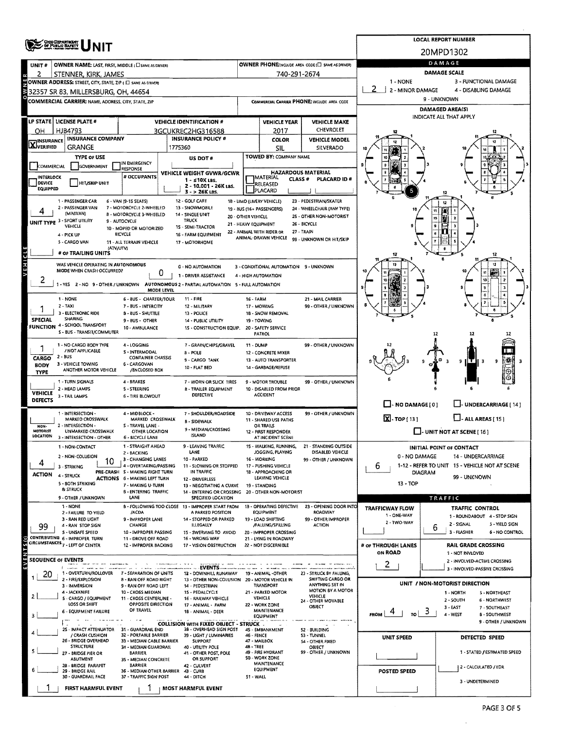|                                  | <b>CHOO DEPANTMENT</b><br>OF PUBLIC BAFETY                                                         |                                                                                                                                                                                      |                                                                                          | <b>LOCAL REPORT NUMBER</b> |                                                                     |                                                    |                                                  |                                                                    |  |  |  |  |  |  |
|----------------------------------|----------------------------------------------------------------------------------------------------|--------------------------------------------------------------------------------------------------------------------------------------------------------------------------------------|------------------------------------------------------------------------------------------|----------------------------|---------------------------------------------------------------------|----------------------------------------------------|--------------------------------------------------|--------------------------------------------------------------------|--|--|--|--|--|--|
|                                  | <b>NIT</b>                                                                                         |                                                                                                                                                                                      |                                                                                          |                            |                                                                     |                                                    |                                                  | 20MPD1302                                                          |  |  |  |  |  |  |
| UNIT #                           | OWNER NAME: LAST, FIRST, MIDDLE (CI SAME AS DRIVER)                                                |                                                                                                                                                                                      |                                                                                          |                            |                                                                     | OWNER PHONE: INCLUDE AREA CODE (E) SAME AS DRIVER) | DAMAGE                                           |                                                                    |  |  |  |  |  |  |
| 2                                | STENNER, KIRK, JAMES                                                                               |                                                                                                                                                                                      |                                                                                          |                            | 740-291-2674                                                        |                                                    | 1 - NONE                                         | <b>DAMAGE SCALE</b><br>3 - FUNCTIONAL DAMAGE                       |  |  |  |  |  |  |
|                                  | OWNER ADDRESS: STREET, CITY, STATE, ZIP (E) SAME AS DRIVERY<br>32357 SR 83, MILLERSBURG, OH, 44654 |                                                                                                                                                                                      |                                                                                          |                            |                                                                     |                                                    | 2 - MINOR DAMAGE<br>4 - DISABLING DAMAGE         |                                                                    |  |  |  |  |  |  |
|                                  | COMMERCIAL CARRIER: NAME, ADDRESS, CITY, STATE, ZIP                                                |                                                                                                                                                                                      |                                                                                          |                            |                                                                     | COMMERCIAL CARRIER PHONE: INCLUDE AREA CODE        |                                                  | 9 - UNKNOWN                                                        |  |  |  |  |  |  |
|                                  |                                                                                                    |                                                                                                                                                                                      |                                                                                          |                            |                                                                     |                                                    | DAMAGED AREA(S)                                  |                                                                    |  |  |  |  |  |  |
|                                  | LP STATE   LICENSE PLATE #                                                                         |                                                                                                                                                                                      | <b>VEHICLE IDENTIFICATION #</b>                                                          |                            | <b>VEHICLE YEAR</b>                                                 | <b>VEHICLE MAKE</b>                                |                                                  | INDICATE ALL THAT APPLY                                            |  |  |  |  |  |  |
| OН                               | HJB4793                                                                                            |                                                                                                                                                                                      | 3GCUKREC2HG316588                                                                        |                            | 2017                                                                | CHEVROLET                                          |                                                  |                                                                    |  |  |  |  |  |  |
| <b>X</b> INSURANCE               | <b>INSURANCE COMPANY</b><br>GRANGE                                                                 |                                                                                                                                                                                      | <b>INSURANCE POLICY #</b>                                                                |                            | <b>COLOR</b>                                                        | <b>VEHICLE MODEL</b>                               |                                                  |                                                                    |  |  |  |  |  |  |
|                                  | <b>TYPE OF USE</b>                                                                                 |                                                                                                                                                                                      | 1775360<br>US DOT#                                                                       |                            | SIL<br>TOWED BY: COMPANY NAME                                       | SILVERADO                                          |                                                  |                                                                    |  |  |  |  |  |  |
| <b>COMMERCIAL</b>                | <b>GOVERNMENT</b>                                                                                  | IN EMERGENCY<br><b>RESPONSE</b>                                                                                                                                                      |                                                                                          |                            |                                                                     |                                                    | $\ddot{\mathbf{g}}$                              |                                                                    |  |  |  |  |  |  |
| <b>INTERLOCK</b>                 |                                                                                                    | # OCCUPANTS                                                                                                                                                                          | VEHICLE WEIGHT GVWR/GCWR<br>$1 - 510K$ LBS.                                              |                            | <b>HAZARDOUS MATERIAL</b><br><b>IMATERIAL</b><br>CLASS <sup>#</sup> | PLACARD ID#                                        |                                                  |                                                                    |  |  |  |  |  |  |
| DEVICE<br>EQUIPPED               | <b>HIT/SKIP UNIT</b>                                                                               |                                                                                                                                                                                      | 2 - 10.001 - 26K LBS.                                                                    |                            | <b>RELEASED</b><br>PLACARD                                          |                                                    |                                                  |                                                                    |  |  |  |  |  |  |
|                                  | 1 - PASSENGER CAR                                                                                  | 6 - VAN (9-15 SEATS)                                                                                                                                                                 | 3 - > 26K LBS.<br>12 - GOLF CART                                                         |                            | 18 - LIMO (LIVERY VEHICLE)                                          | 23 - PEDESTRIAN/SKATER                             |                                                  |                                                                    |  |  |  |  |  |  |
|                                  | 2 - PASSENGER VAN<br>(MINIVAN)                                                                     | 7 - MOTORCYCLE 2-WHEELED                                                                                                                                                             | 13 - SNOWMOBILE                                                                          |                            | 19 - BUS (16+ PASSENGERS)                                           | 24 - WHEELCHAIR (ANY TYPE)                         |                                                  |                                                                    |  |  |  |  |  |  |
| UNIT TYPE                        | 3 - SPORT UTILITY                                                                                  | <b>B - MOTORCYCLE 3-WHEELED</b><br>9 - AUTOCYCLE                                                                                                                                     | 14 - SINGLE UNIT<br><b>TRUCK</b>                                                         | 20 - OTHER VEHICLE         | 21 - HEAVY EQUIPMENT                                                | 25 - OTHER NON-MOTORIST<br>26 - BICYCLE            |                                                  |                                                                    |  |  |  |  |  |  |
|                                  | VEHICLE<br>4 - PICK UP                                                                             | 10 - MOPED OR MOTORIZED<br><b>BICYCLE</b>                                                                                                                                            | 1S - SEMI-TRACTOR<br>16 - FARM EQUIPMENT                                                 |                            | 22 - ANIMAL WITH RIDER OR                                           | 27 - TRAIN                                         |                                                  |                                                                    |  |  |  |  |  |  |
|                                  | 5 - CARGO VAN                                                                                      | 11 - ALL TERRAIN VEHICLE                                                                                                                                                             | 17 - MOTORHOME                                                                           |                            | ANIMAL-DRAWN VEHICLE                                                | 99 - UNKNOWN OR HIT/SKIP                           |                                                  |                                                                    |  |  |  |  |  |  |
|                                  | (ATV/UTV)<br># OF TRAILING UNITS                                                                   |                                                                                                                                                                                      |                                                                                          |                            |                                                                     |                                                    |                                                  |                                                                    |  |  |  |  |  |  |
| <b>AEHICLE</b>                   |                                                                                                    |                                                                                                                                                                                      |                                                                                          |                            |                                                                     |                                                    |                                                  |                                                                    |  |  |  |  |  |  |
|                                  |                                                                                                    | WAS VEHICLE OPERATING IN AUTONOMOUS<br>0 - NO AUTOMATION<br>3 - CONDITIONAL AUTOMATION 9 - UNKNOWN<br>MODE WHEN CRASH OCCURRED?<br>0<br>1 - DRIVER ASSISTANCE<br>4 - HIGH AUTOMATION |                                                                                          |                            |                                                                     |                                                    |                                                  |                                                                    |  |  |  |  |  |  |
| ۷                                |                                                                                                    | MODE LEVEL                                                                                                                                                                           | 1 - YES 2 - NO 9 - OTHER / UNKNOWN AUTONOMOUS 2 - PARTIAL AUTOMATION 5 - FULL AUTOMATION |                            |                                                                     |                                                    |                                                  |                                                                    |  |  |  |  |  |  |
|                                  | 1 - NONE                                                                                           | 6 - 8US - CHARTER/TOUR                                                                                                                                                               | $11 - FIRE$                                                                              | <b>16 - FARM</b>           |                                                                     | 21 - MAIL CARRIER                                  |                                                  | ô                                                                  |  |  |  |  |  |  |
|                                  | Z - TAXI                                                                                           | 7 - BUS - INTERCITY                                                                                                                                                                  | 12 - MILITARY                                                                            |                            | 17 - MOWING                                                         | 99 - OTHER / UNKNOWN                               |                                                  |                                                                    |  |  |  |  |  |  |
| <b>SPECIAL</b>                   | 3 - ELECTRONIC RIDE<br><b>SHARING</b>                                                              | 8 - 8US - SHUTTLE<br>9 - BUS - OTHER                                                                                                                                                 | 13 - POLICE<br>14 - PUBLIC UTILITY                                                       |                            | 18 - SNOW REMOVAL<br>19 - TOWING                                    |                                                    |                                                  |                                                                    |  |  |  |  |  |  |
| <b>FUNCTION</b>                  | 4 - SCHOOL TRANSPORT<br>S - BUS - TRANSIT/COMMUTER                                                 | 10 - AMBULANCE                                                                                                                                                                       | 1S - CONSTRUCTION EQUIP.                                                                 |                            | 20 - SAFETY SERVICE<br>PATROL                                       |                                                    |                                                  | 12                                                                 |  |  |  |  |  |  |
|                                  | 1 - NO CARGO BODY TYPE                                                                             | 4 - LOGGING                                                                                                                                                                          | 7 - GRAIN/CHIPS/GRAVEL                                                                   | 11 - DUMP                  |                                                                     | 99 - OTHER / UNKNOWN                               |                                                  |                                                                    |  |  |  |  |  |  |
| 1                                | / NOT APPLICABLE                                                                                   | S - INTERMODAL                                                                                                                                                                       | <b>B-POLE</b>                                                                            |                            | 12 - CONCRETE MIXER                                                 |                                                    |                                                  |                                                                    |  |  |  |  |  |  |
| CARGO<br><b>BODY</b>             | 2 - BUS<br>3 - VEHICLE TOWING                                                                      | <b>CONTAINER CHASSIS</b><br>6 - CARGOVAN                                                                                                                                             | 9 - CARGO TANK                                                                           |                            | 13 - AUTO TRANSPORTER                                               |                                                    |                                                  | 9<br>11 T I                                                        |  |  |  |  |  |  |
| <b>TYPE</b>                      | ANOTHER MOTOR VEHICLE                                                                              | /ENCLOSED BOX                                                                                                                                                                        | 10 - FLAT BED                                                                            |                            | 14 - GARBAGE/REFUSE                                                 |                                                    |                                                  |                                                                    |  |  |  |  |  |  |
|                                  | 1 - TURN SIGNALS<br>2 - HEAD LAMPS                                                                 | 4 - BRAKES<br>5 - STEERING                                                                                                                                                           | 7 - WORN OR SLICK TIRES<br><b>B - TRAILER EQUIPMENT</b>                                  |                            | 9 - MOTOR TROUBLE<br>10 - DISABLED FROM PRIOR                       | 99 - OTHER / UNKNOWN                               |                                                  |                                                                    |  |  |  |  |  |  |
| <b>VEHICLE</b><br><b>DEFECTS</b> | 3 - TAIL LAMPS                                                                                     | 6 - TIRE BLOWOUT                                                                                                                                                                     | <b>DEFECTIVE</b>                                                                         |                            | <b>ACCIDENT</b>                                                     |                                                    |                                                  |                                                                    |  |  |  |  |  |  |
|                                  |                                                                                                    |                                                                                                                                                                                      |                                                                                          |                            |                                                                     |                                                    | $\Box$ - NO DAMAGE [ 0 ]                         | - UNDERCARRIAGE [ 14 ]                                             |  |  |  |  |  |  |
|                                  | 1 - INTERSECTION -<br>MARKED CROSSWALK                                                             | 4 - MIDBLOCK -<br>MARKED CROSSWALK                                                                                                                                                   | 7 - SHOULDER/ROADSIDE<br><b>B - SIDEWALK</b>                                             |                            | 10 - DRIVEWAY ACCESS<br>11 - SHARED USE PATHS                       | 99 - OTHER / UNKNOWN                               | $X - \text{TOP}$ [13]<br>$\Box$ ALL AREAS [ 15 ] |                                                                    |  |  |  |  |  |  |
| NON-<br>MOTORIST                 | 2 - INTERSECTION -<br>UNMARKED CROSSWALK                                                           | S - TRAVEL LANE -<br>OTHER LOCATION                                                                                                                                                  | 9 - MEDIAN/CROSSING                                                                      |                            | OR TRAILS<br>12 - FIRST RESPONDER                                   |                                                    |                                                  | $\Box$ - UNIT NOT AT SCENE [ 16 ]                                  |  |  |  |  |  |  |
| LOCATION                         | 3 - INTERSECTION - OTHER                                                                           | 6 - SICYCLE LANE                                                                                                                                                                     | <b>ISLAND</b>                                                                            |                            | AT INCIDENT SCENE                                                   |                                                    |                                                  |                                                                    |  |  |  |  |  |  |
|                                  | 1 - NON-CONTACT<br>2 - NON-COLLISION                                                               | 1 - STRAIGHT AHEAD<br>2 - BACKING                                                                                                                                                    | 9 - LEAVING TRAFFIC<br>LANE                                                              |                            | 15 - WALKING, RUNNING,<br>JOGGING, PLAYING                          | 21 - STANDING OUTSIDE<br>DISABLED VEHICLE          | 0 - NO DAMAGE                                    | INITIAL POINT OF CONTACT<br>14 - UNDERCARRIAGE                     |  |  |  |  |  |  |
|                                  | 10<br>3 - STRIKING                                                                                 | 3 - CHANGING LANES<br>4 - OVERTAKING/PASSING                                                                                                                                         | 10 - PARKED<br>11 - SLOWING OR STOPPED                                                   |                            | 16 - WORKING<br>17 - PUSHING VEHICLE                                | 99 - OTHER / UNKNOWN                               | 6                                                | 1-12 - REFER TO UNIT 15 - VEHICLE NOT AT SCENE                     |  |  |  |  |  |  |
| <b>ACTION</b>                    | 4 - STRUCK                                                                                         | PRE-CRASH S - MAKING RIGHT TURN<br><b>ACTIONS 6 - MAKING LEFT TURN</b>                                                                                                               | IN TRAFFIC                                                                               |                            | 18 - APPROACHING OR<br>LEAVING VEHICLE                              |                                                    | <b>DIAGRAM</b>                                   | 99 - UNKNOWN                                                       |  |  |  |  |  |  |
|                                  | 5 - BOTH STRIKING<br>& STRUCK                                                                      | 7 - MAKING U-TURN                                                                                                                                                                    | 12 - DRIVERLESS<br>13 - NEGOTIATING A CURVE                                              |                            | 19 - STANDING                                                       |                                                    | 13 - TOP                                         |                                                                    |  |  |  |  |  |  |
|                                  | 9 - OTHER / UNKNOWN                                                                                | <b>B - ENTERING TRAFFIC</b><br>LANE                                                                                                                                                  | 14 - ENTERING OR CROSSING 20 - OTHER NON-MOTORIST<br>SPECIFIED LOCATION                  |                            |                                                                     |                                                    |                                                  | TRAFFIC                                                            |  |  |  |  |  |  |
|                                  | 1 - NONE                                                                                           | /ACDA                                                                                                                                                                                | B - FOLLOWING TOO CLOSE 13 - IMPROPER START FROM<br>A PARKED POSITION                    |                            | 1B - OPERATING DEFECTIVE<br><b>EQUIPMENT</b>                        | 23 - OPENING DOOR INTO<br><b>ROADWAY</b>           | TRAFFICWAY FLOW                                  | TRAFFIC CONTROL                                                    |  |  |  |  |  |  |
|                                  | 2 - FAILURE TO YIELD<br>3 - RAN RED LIGHT                                                          | 9 - IMPROPER LANE                                                                                                                                                                    | 14 - STOPPED OR PARKED                                                                   |                            | 19 - LOAD SHIFTING                                                  | 99 - OTHER IMPROPER                                | 1 - ONE-WAY<br>2 - TWO-WAY                       | 1 - ROUNDABOUT 4 - STOP SIGN                                       |  |  |  |  |  |  |
| 99                               | 4 - RAN STOP SIGN<br>S - UNSAFE SPEED                                                              | CHANGE<br>10 - IMPROPER PASSING                                                                                                                                                      | ILLEGALLY<br>15 - SWERVING TO AVOID                                                      |                            | /FALLING/SPILLING<br>20 - IMPROPER CROSSING                         | <b>ACTION</b>                                      |                                                  | 2 - SIGNAL<br>5 - YIELD SIGN<br>6<br>3 - FLASHER<br>6 - NO CONTROL |  |  |  |  |  |  |
| $\mathbf{S}(s)$                  | CONTRIBUTING 6 - IMPROPER TURN<br>CIRCUMSTANCES <sub>7</sub> - LEFT OF CENTER                      | 11 - DROVE OFF ROAD<br>12 - IMPROPER BACKING                                                                                                                                         | 16 - WRONG WAY<br>17 - VISION OBSTRUCTION                                                |                            | 21 - LYING IN ROADWAY<br>22 - NOT DISCERNIBLE                       |                                                    | # or THROUGH LANES                               | <b>RAIL GRADE CROSSING</b>                                         |  |  |  |  |  |  |
| Е                                |                                                                                                    |                                                                                                                                                                                      |                                                                                          |                            |                                                                     |                                                    | <b>ON ROAD</b>                                   | 1 - NOT INVLOVED                                                   |  |  |  |  |  |  |
| ш<br>È                           | <b>SEQUENCE OF EVENTS</b><br>Antendence of                                                         |                                                                                                                                                                                      |                                                                                          |                            |                                                                     |                                                    | 2                                                | 2 - INVOLVED-ACTIVE CROSSING                                       |  |  |  |  |  |  |
| 20                               | m market as don't comme<br>1 - OVERTURN/ROLLOVER 7 - SEPARATION OF UNITS                           |                                                                                                                                                                                      | 12 - DOWNHILL RUNAWAY                                                                    |                            | 19 - ANIMAL -OTHER                                                  | 23 - STRUCK BY FALLING,<br>SHIFTING CARGO OR       |                                                  | 3 - INVOLVED-PASSIVE CROSSING                                      |  |  |  |  |  |  |
|                                  | 2 - FIRE/EXPLOSION<br>3 - IMMERSION                                                                | <b>B - RAN OFF ROAD RIGHT</b><br>9 - RAN OFF ROAD LEFT                                                                                                                               | 13 - OTHER NON-COLUSION 20 - MOTOR VEHICLE IN<br>14 - PEDESTRIAN                         |                            | TRANSPORT                                                           | ANYTHING SET IN                                    |                                                  | UNIT / NON-MOTORIST DIRECTION                                      |  |  |  |  |  |  |
| 2                                | 4 - JACKKNIFE<br>5 - CARGO / EQUIPMENT                                                             | 10 - CROSS MEDIAN<br>11 - CROSS CENTERLINE -                                                                                                                                         | 15 - PEDALCYCLE<br>16 - RAILWAY VEHICLE                                                  |                            | 21 - PARKED MOTOR<br>VEHICLE                                        | MOTION BY A MOTOR<br>VEHICLE                       |                                                  | 1 - NORTH<br>5 - NORTHEAST<br>2 - SOUTH<br>6 - NORTHWEST           |  |  |  |  |  |  |
|                                  | LOSS OR SHIFT<br>6 - EQUIPMENT FAILURE                                                             | OPPOSITE DIRECTION<br>OF TRAVEL                                                                                                                                                      | 17 - ANIMAL - FARM                                                                       |                            | 22 - WORK ZONE<br>MAINTENANCE                                       | <b>24 - OTHER MOVABLE</b><br>OBJECT                |                                                  | $3 - EAST$<br>7 - SOUTHEAST                                        |  |  |  |  |  |  |
|                                  |                                                                                                    |                                                                                                                                                                                      | 18 - ANIMAL - DEER                                                                       |                            | <b>EQUIPMENT</b>                                                    |                                                    | TO<br><b>FROM</b>                                | 4 - WEST<br><b>8 - SOUTHWEST</b><br>9 - OTHER / UNKNOWN            |  |  |  |  |  |  |
|                                  | 25 - IMPACT ATTENUATOR 31 - GUARDRAIL END                                                          |                                                                                                                                                                                      | <b>COLLISION WITH FIXED OBJECT - STRUCK .</b><br>38 - OVERHEAD SIGN POST                 |                            | 45 - EMBANKMENT                                                     | 52 - BUILDING                                      |                                                  |                                                                    |  |  |  |  |  |  |
|                                  | / CRASH CUSHION<br>26 - BRIDGE OVERHEAD                                                            | 32 - PORTABLE BARRIER<br>33 - MEDIAN CABLE BARRIER                                                                                                                                   | 39 - LIGHT / LUMINARIES<br><b>SUPPORT</b>                                                | 46 - FENCE                 | 47 - MAILBOX                                                        | 53 - TUNNEL<br>54 - OTHER FIXED                    | UNIT SPEED                                       | <b>DETECTED SPEED</b>                                              |  |  |  |  |  |  |
|                                  | <b>STRUCTURE</b><br>27 - BRIDGE PIER OR                                                            | 34 - MEDIAN GUARDRAIL<br><b>BARRIER</b>                                                                                                                                              | 40 - UTILITY POLE<br>41 - OTHER POST, POLE                                               | 48 - TREE                  | 49 - FIRE HYDRANT                                                   | OBJECT<br>99 - OTHER / UNKNOWN                     |                                                  | 1 - STATED / ESTIMATED SPEED                                       |  |  |  |  |  |  |
|                                  | ABUTMENT                                                                                           | 35 - MEDIAN CONCRETE<br>BARRIER                                                                                                                                                      | OR SUPPORT                                                                               |                            | 50 - WORK ZONE<br><b>MAINTENANCE</b>                                |                                                    |                                                  |                                                                    |  |  |  |  |  |  |
|                                  | 28 - BRIDGE PARAPET<br>29 - BRIDGE RAIL<br>30 - GUARDRAIL FACE                                     | 36 - MEDIAN OTHER BARRIER 43 - CURB<br>37 - TRAFFIC SIGN POST                                                                                                                        | 42 - CULVERT                                                                             |                            | EQUIPMENT                                                           |                                                    | <b>POSTED SPEED</b>                              | 2 - CALCULATED / EDR                                               |  |  |  |  |  |  |
|                                  |                                                                                                    |                                                                                                                                                                                      | 44 - DITCH                                                                               | 51 - WALL                  |                                                                     |                                                    |                                                  | 3 - UNDETERMINED                                                   |  |  |  |  |  |  |
|                                  | FIRST HARMFUL EVENT                                                                                |                                                                                                                                                                                      | MOST HARMFUL EVENT                                                                       |                            |                                                                     |                                                    |                                                  |                                                                    |  |  |  |  |  |  |

 $\ddot{\phantom{1}}$ 

 $\bar{z}$